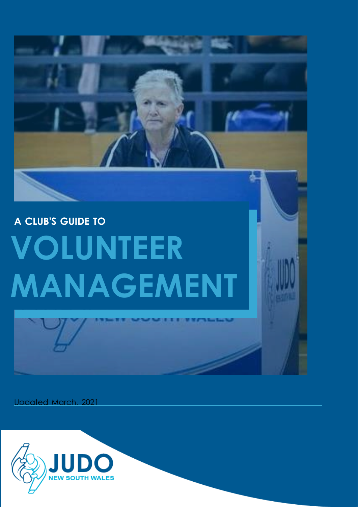# **A CLUB'S GUIDE TO VOLUNTEER MANAGEMENT**

Updated March, 2021

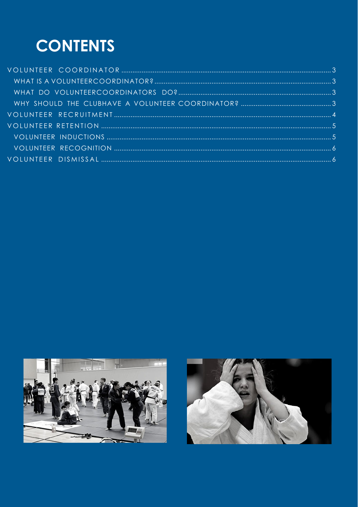### **CONTENTS**



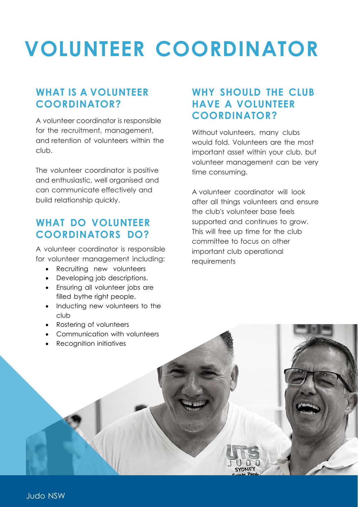### <span id="page-2-0"></span>**VOLUNTEER COORDINATOR**

#### <span id="page-2-1"></span>**WHAT IS A VOLUNTEER COORDINATOR?**

A volunteer coordinator is responsible for the recruitment, management, and retention of volunteers within the club.

The volunteer coordinator is positive and enthusiastic, well organised and can communicate effectively and build relationship quickly.

#### <span id="page-2-2"></span>**WHAT DO VOLUNTEER COORDINATORS DO?**

A volunteer coordinator is responsible for volunteer management including:

- Recruiting new volunteers
- Developing job descriptions.
- Ensuring all volunteer jobs are filled bythe right people.
- Inducting new volunteers to the club
- Rostering of volunteers
- Communication with volunteers
- Recognition initiatives

#### <span id="page-2-3"></span>**WHY SHOULD THE CLUB HAVE A VOLUNTEER COORDINATOR?**

Without volunteers, many clubs would fold. Volunteers are the most important asset within your club, but volunteer management can be very time consuming.

A volunteer coordinator will look after all things volunteers and ensure the club's volunteer base feels supported and continues to grow. This will free up time for the club committee to focus on other important club operational requirements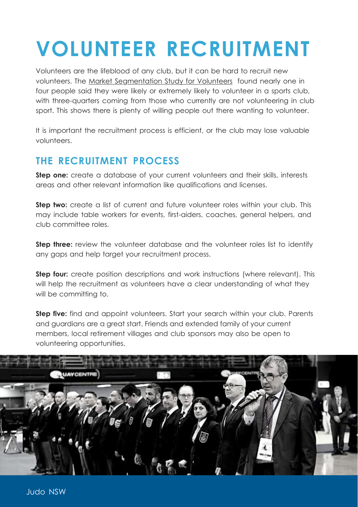### <span id="page-3-0"></span>**VOLUNTEER RECRUITMENT**

Volunteers are the lifeblood of any club, but it can be hard to recruit new volunteers. The Market [Segmentation](https://www.clearinghouseforsport.gov.au/research/market-seg/volunteers) Study for Volunteers found nearly one in four people said they were likely or extremely likely to volunteer in a sports club, with three-quarters coming from those who currently are not volunteering in club sport. This shows there is plenty of willing people out there wanting to volunteer.

It is important the recruitment process is efficient, or the club may lose valuable volunteers.

#### **THE RECRUITMENT PROCESS**

**Step one:** create a database of your current volunteers and their skills, interests areas and other relevant information like qualifications and licenses.

**Step two:** create a list of current and future volunteer roles within your club. This may include table workers for events, first-aiders, coaches, general helpers, and club committee roles.

**Step three:** review the volunteer database and the volunteer roles list to identify any gaps and help target your recruitment process.

**Step four:** create position descriptions and work instructions (where relevant). This will help the recruitment as volunteers have a clear understanding of what they will be committing to.

**Step five:** find and appoint volunteers. Start your search within your club. Parents and guardians are a great start. Friends and extended family of your current members, local retirement villages and club sponsors may also be open to volunteering opportunities.

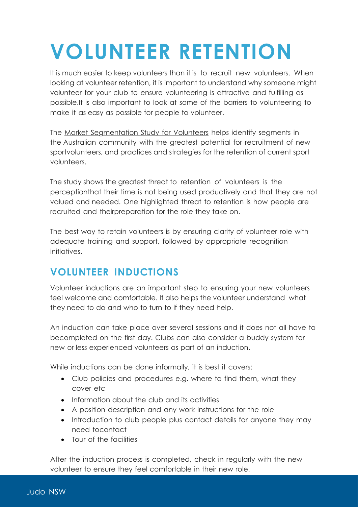## <span id="page-4-0"></span>**VOLUNTEER RETENTION**

It is much easier to keep volunteers than it is to recruit new volunteers. When looking at volunteer retention, it is important to understand why someone might volunteer for your club to ensure volunteering is attractive and fulfilling as possible.It is also important to look at some of the barriers to volunteering to make it as easy as possible for people to volunteer.

The Market [Segmentation](https://www.clearinghouseforsport.gov.au/research/market-seg/volunteers) Study for Volunteers helps identify segments in the Australian community with the greatest potential for recruitment of new sportvolunteers, and practices and strategies for the retention of current sport volunteers.

The study shows the greatest threat to retention of volunteers is the perceptionthat their time is not being used productively and that they are not valued and needed. One highlighted threat to retention is how people are recruited and theirpreparation for the role they take on.

The best way to retain volunteers is by ensuring clarity of volunteer role with adequate training and support, followed by appropriate recognition initiatives.

#### <span id="page-4-1"></span>**VOLUNTEER INDUCTIONS**

Volunteer inductions are an important step to ensuring your new volunteers feel welcome and comfortable. It also helps the volunteer understand what they need to do and who to turn to if they need help.

An induction can take place over several sessions and it does not all have to becompleted on the first day. Clubs can also consider a buddy system for new or less experienced volunteers as part of an induction.

While inductions can be done informally, it is best it covers:

- Club policies and procedures e.g. where to find them, what they cover etc
- Information about the club and its activities
- A position description and any work instructions for the role
- Introduction to club people plus contact details for anyone they may need tocontact
- Tour of the facilities

After the induction process is completed, check in regularly with the new volunteer to ensure they feel comfortable in their new role.